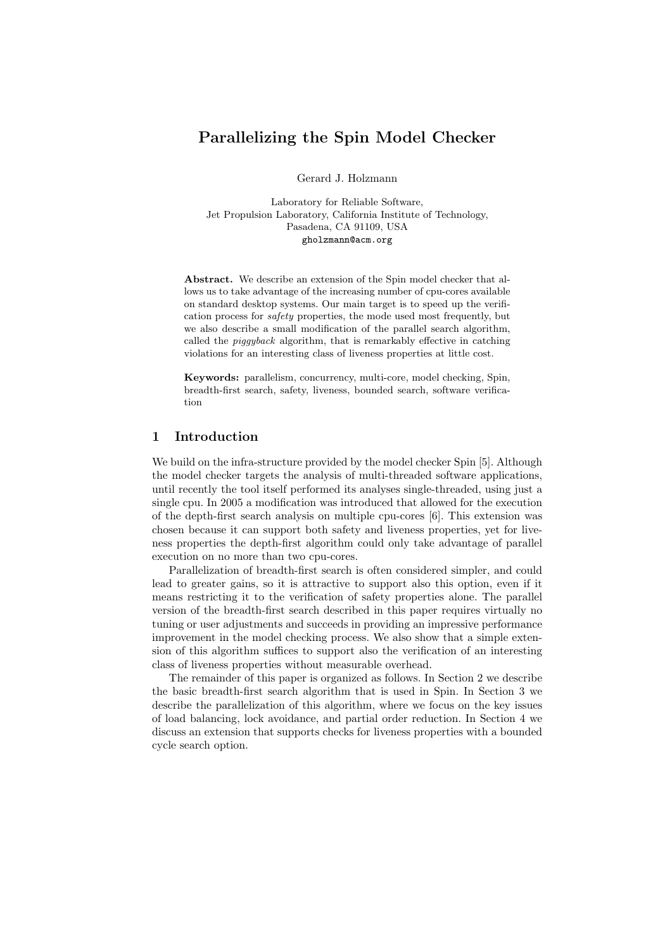Gerard J. Holzmann

Laboratory for Reliable Software, Jet Propulsion Laboratory, California Institute of Technology, Pasadena, CA 91109, USA gholzmann@acm.org

Abstract. We describe an extension of the Spin model checker that allows us to take advantage of the increasing number of cpu-cores available on standard desktop systems. Our main target is to speed up the verification process for safety properties, the mode used most frequently, but we also describe a small modification of the parallel search algorithm, called the piggyback algorithm, that is remarkably effective in catching violations for an interesting class of liveness properties at little cost.

Keywords: parallelism, concurrency, multi-core, model checking, Spin, breadth-first search, safety, liveness, bounded search, software verification

# 1 Introduction

We build on the infra-structure provided by the model checker Spin [5]. Although the model checker targets the analysis of multi-threaded software applications, until recently the tool itself performed its analyses single-threaded, using just a single cpu. In 2005 a modification was introduced that allowed for the execution of the depth-first search analysis on multiple cpu-cores [6]. This extension was chosen because it can support both safety and liveness properties, yet for liveness properties the depth-first algorithm could only take advantage of parallel execution on no more than two cpu-cores.

Parallelization of breadth-first search is often considered simpler, and could lead to greater gains, so it is attractive to support also this option, even if it means restricting it to the verification of safety properties alone. The parallel version of the breadth-first search described in this paper requires virtually no tuning or user adjustments and succeeds in providing an impressive performance improvement in the model checking process. We also show that a simple extension of this algorithm suffices to support also the verification of an interesting class of liveness properties without measurable overhead.

The remainder of this paper is organized as follows. In Section 2 we describe the basic breadth-first search algorithm that is used in Spin. In Section 3 we describe the parallelization of this algorithm, where we focus on the key issues of load balancing, lock avoidance, and partial order reduction. In Section 4 we discuss an extension that supports checks for liveness properties with a bounded cycle search option.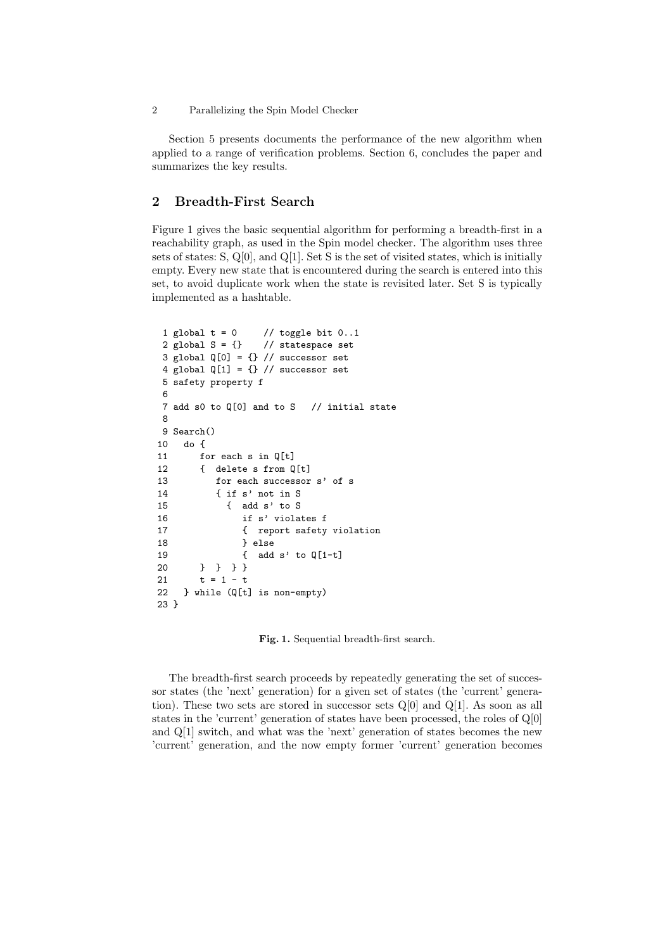Section 5 presents documents the performance of the new algorithm when applied to a range of verification problems. Section 6, concludes the paper and summarizes the key results.

# 2 Breadth-First Search

Figure 1 gives the basic sequential algorithm for performing a breadth-first in a reachability graph, as used in the Spin model checker. The algorithm uses three sets of states: S, Q[0], and Q[1]. Set S is the set of visited states, which is initially empty. Every new state that is encountered during the search is entered into this set, to avoid duplicate work when the state is revisited later. Set S is typically implemented as a hashtable.

```
1 global t = 0 // toggle bit 0..12 global S = \{\} // statespace set
3 global Q[0] = \{\} // successor set
4 global Q[1] = \{\} // successor set
5 safety property f
6
7 add s0 to Q[0] and to S // initial state
8
9 Search()
10 do {
11 for each s in Q[t]
12 { delete s from Q[t]
13 for each successor s' of s
14 { if s' not in S
15 { add s' to S
16 if s' violates f
17 		 { report safety violation
18 } else
19 { add s' to Q[1-t]
20 } } } }
21 t = 1 - t22 } while (Q[t] is non-empty)
23 }
```
Fig. 1. Sequential breadth-first search.

The breadth-first search proceeds by repeatedly generating the set of successor states (the 'next' generation) for a given set of states (the 'current' generation). These two sets are stored in successor sets  $Q[0]$  and  $Q[1]$ . As soon as all states in the 'current' generation of states have been processed, the roles of Q[0] and Q[1] switch, and what was the 'next' generation of states becomes the new 'current' generation, and the now empty former 'current' generation becomes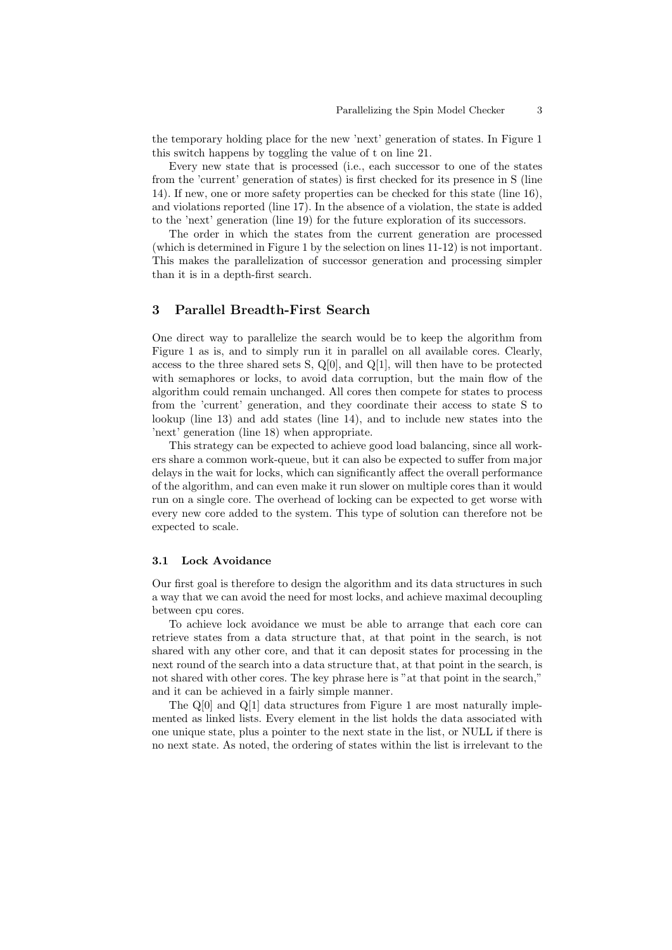the temporary holding place for the new 'next' generation of states. In Figure 1 this switch happens by toggling the value of t on line 21.

Every new state that is processed (i.e., each successor to one of the states from the 'current' generation of states) is first checked for its presence in S (line 14). If new, one or more safety properties can be checked for this state (line 16), and violations reported (line 17). In the absence of a violation, the state is added to the 'next' generation (line 19) for the future exploration of its successors.

The order in which the states from the current generation are processed (which is determined in Figure 1 by the selection on lines 11-12) is not important. This makes the parallelization of successor generation and processing simpler than it is in a depth-first search.

# 3 Parallel Breadth-First Search

One direct way to parallelize the search would be to keep the algorithm from Figure 1 as is, and to simply run it in parallel on all available cores. Clearly, access to the three shared sets S, Q[0], and Q[1], will then have to be protected with semaphores or locks, to avoid data corruption, but the main flow of the algorithm could remain unchanged. All cores then compete for states to process from the 'current' generation, and they coordinate their access to state S to lookup (line 13) and add states (line 14), and to include new states into the 'next' generation (line 18) when appropriate.

This strategy can be expected to achieve good load balancing, since all workers share a common work-queue, but it can also be expected to suffer from major delays in the wait for locks, which can significantly affect the overall performance of the algorithm, and can even make it run slower on multiple cores than it would run on a single core. The overhead of locking can be expected to get worse with every new core added to the system. This type of solution can therefore not be expected to scale.

#### 3.1 Lock Avoidance

Our first goal is therefore to design the algorithm and its data structures in such a way that we can avoid the need for most locks, and achieve maximal decoupling between cpu cores.

To achieve lock avoidance we must be able to arrange that each core can retrieve states from a data structure that, at that point in the search, is not shared with any other core, and that it can deposit states for processing in the next round of the search into a data structure that, at that point in the search, is not shared with other cores. The key phrase here is "at that point in the search," and it can be achieved in a fairly simple manner.

The  $Q[0]$  and  $Q[1]$  data structures from Figure 1 are most naturally implemented as linked lists. Every element in the list holds the data associated with one unique state, plus a pointer to the next state in the list, or NULL if there is no next state. As noted, the ordering of states within the list is irrelevant to the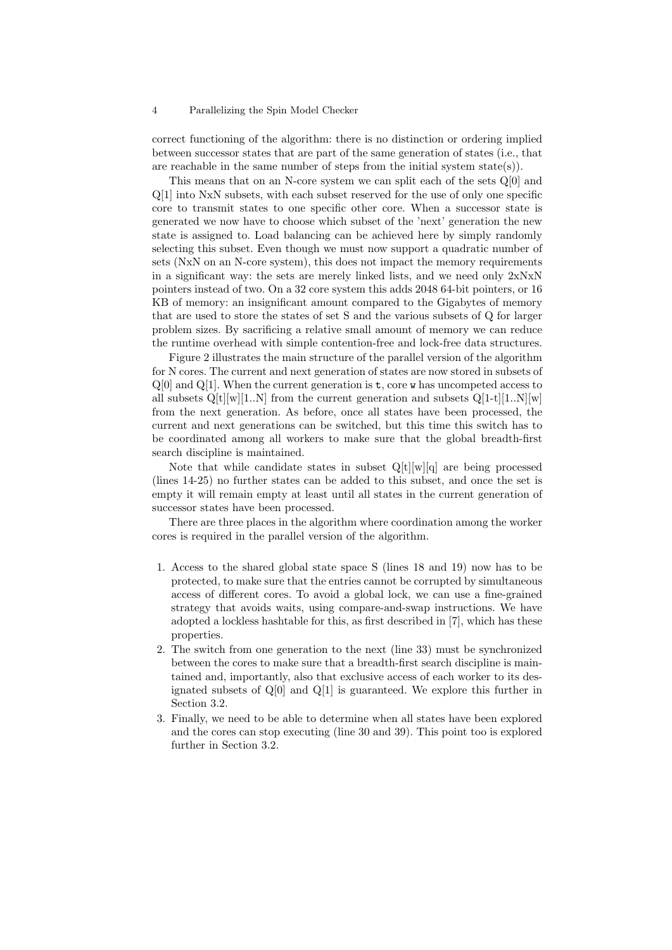correct functioning of the algorithm: there is no distinction or ordering implied between successor states that are part of the same generation of states (i.e., that are reachable in the same number of steps from the initial system state(s)).

This means that on an N-core system we can split each of the sets Q[0] and Q[1] into NxN subsets, with each subset reserved for the use of only one specific core to transmit states to one specific other core. When a successor state is generated we now have to choose which subset of the 'next' generation the new state is assigned to. Load balancing can be achieved here by simply randomly selecting this subset. Even though we must now support a quadratic number of sets (NxN on an N-core system), this does not impact the memory requirements in a significant way: the sets are merely linked lists, and we need only 2xNxN pointers instead of two. On a 32 core system this adds 2048 64-bit pointers, or 16 KB of memory: an insignificant amount compared to the Gigabytes of memory that are used to store the states of set S and the various subsets of Q for larger problem sizes. By sacrificing a relative small amount of memory we can reduce the runtime overhead with simple contention-free and lock-free data structures.

Figure 2 illustrates the main structure of the parallel version of the algorithm for N cores. The current and next generation of states are now stored in subsets of  $Q[0]$  and  $Q[1]$ . When the current generation is  $t$ , core w has uncompeted access to all subsets  $Q[t][w][1..N]$  from the current generation and subsets  $Q[1-t][1..N][w]$ from the next generation. As before, once all states have been processed, the current and next generations can be switched, but this time this switch has to be coordinated among all workers to make sure that the global breadth-first search discipline is maintained.

Note that while candidate states in subset  $Q[t][w][q]$  are being processed (lines 14-25) no further states can be added to this subset, and once the set is empty it will remain empty at least until all states in the current generation of successor states have been processed.

There are three places in the algorithm where coordination among the worker cores is required in the parallel version of the algorithm.

- 1. Access to the shared global state space S (lines 18 and 19) now has to be protected, to make sure that the entries cannot be corrupted by simultaneous access of different cores. To avoid a global lock, we can use a fine-grained strategy that avoids waits, using compare-and-swap instructions. We have adopted a lockless hashtable for this, as first described in [7], which has these properties.
- 2. The switch from one generation to the next (line 33) must be synchronized between the cores to make sure that a breadth-first search discipline is maintained and, importantly, also that exclusive access of each worker to its designated subsets of Q[0] and Q[1] is guaranteed. We explore this further in Section 3.2.
- 3. Finally, we need to be able to determine when all states have been explored and the cores can stop executing (line 30 and 39). This point too is explored further in Section 3.2.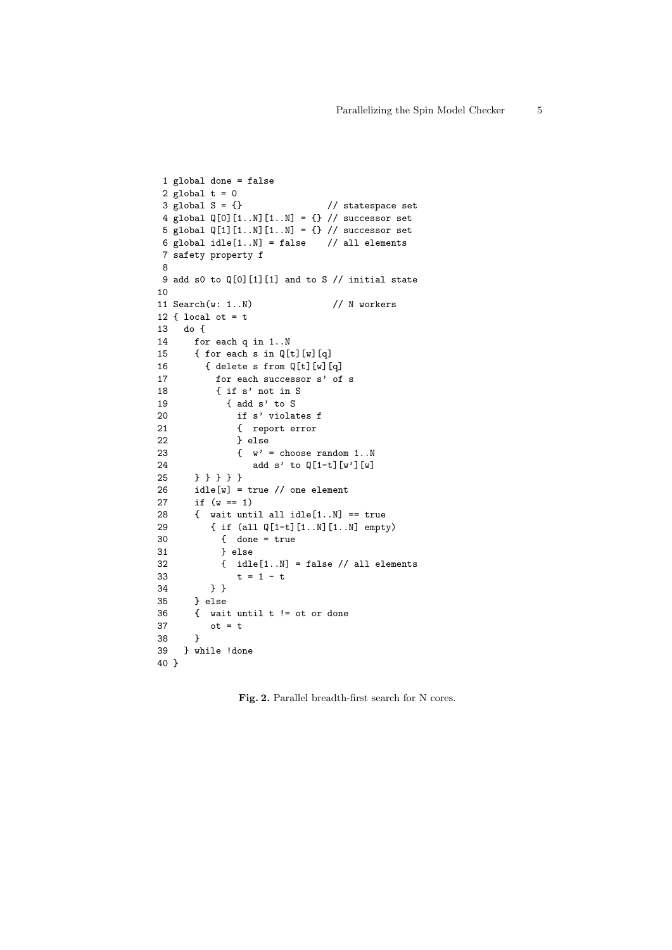```
1 global done = false
2 global t = 03 global S = \{\} // statespace set
4 global Q[0][1..N][1..N] = \{\} // successor set
5 global Q[1][1..N][1..N] = \{\} // successor set
6 global idle[1..N] = false // all elements
7 safety property f
8
9 add s0 to Q[0][1][1] and to S // initial state
10
11 Search(w: 1..N) // N workers
12 \{ local ot = t
13 do {
14 for each q in 1..N
15 \{ for each s in Q[t][w][q]16 { delete s from Q[t][w][q]
17 for each successor s' of s
18 { if s' not in S
19 { add s' to S
20 if s' violates f
21 { report error
22 } else
23 \{w' = \text{choose random } 1..N\}24 add s' to Q[1-t][w'][w]<br>25 } } } }
      25 } } } } }
26 idle[w] = true // one element
27 if (w == 1)
28 { wait until all idle[1..N] == true
29 \{ \text{ if } (all \ Q[1-t][1..N][1..N] \text{ empty}) \}<br>30 \{ \text{ done } = \text{ true}30 \t\t {done = true}<br>31 \t\t {else}31 } else<br>32 { idle
           {i idle[1..N] = false // all elements
33 t = 1 - t34 } }
35 } else
36 { wait until t != ot or done
37 ot = t<br>38 }
38 }
39 } while !done
40 }
```
Fig. 2. Parallel breadth-first search for N cores.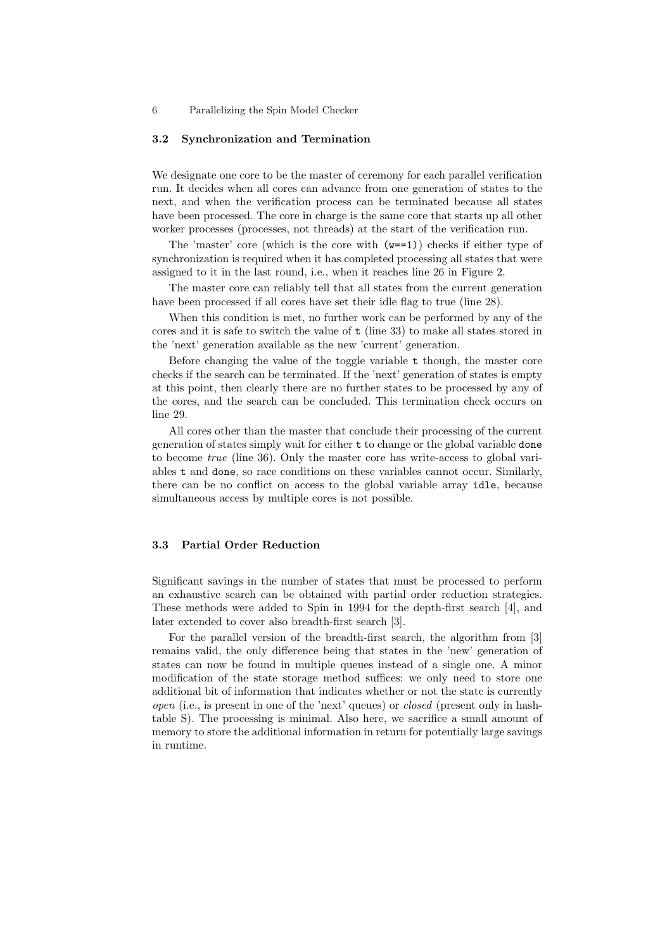#### 3.2 Synchronization and Termination

We designate one core to be the master of ceremony for each parallel verification run. It decides when all cores can advance from one generation of states to the next, and when the verification process can be terminated because all states have been processed. The core in charge is the same core that starts up all other worker processes (processes, not threads) at the start of the verification run.

The 'master' core (which is the core with  $(w=1)$ ) checks if either type of synchronization is required when it has completed processing all states that were assigned to it in the last round, i.e., when it reaches line 26 in Figure 2.

The master core can reliably tell that all states from the current generation have been processed if all cores have set their idle flag to true (line 28).

When this condition is met, no further work can be performed by any of the cores and it is safe to switch the value of t (line 33) to make all states stored in the 'next' generation available as the new 'current' generation.

Before changing the value of the toggle variable t though, the master core checks if the search can be terminated. If the 'next' generation of states is empty at this point, then clearly there are no further states to be processed by any of the cores, and the search can be concluded. This termination check occurs on line 29.

All cores other than the master that conclude their processing of the current generation of states simply wait for either t to change or the global variable done to become true (line 36). Only the master core has write-access to global variables t and done, so race conditions on these variables cannot occur. Similarly, there can be no conflict on access to the global variable array idle, because simultaneous access by multiple cores is not possible.

# 3.3 Partial Order Reduction

Significant savings in the number of states that must be processed to perform an exhaustive search can be obtained with partial order reduction strategies. These methods were added to Spin in 1994 for the depth-first search [4], and later extended to cover also breadth-first search [3].

For the parallel version of the breadth-first search, the algorithm from [3] remains valid, the only difference being that states in the 'new' generation of states can now be found in multiple queues instead of a single one. A minor modification of the state storage method suffices: we only need to store one additional bit of information that indicates whether or not the state is currently open (i.e., is present in one of the 'next' queues) or closed (present only in hashtable S). The processing is minimal. Also here, we sacrifice a small amount of memory to store the additional information in return for potentially large savings in runtime.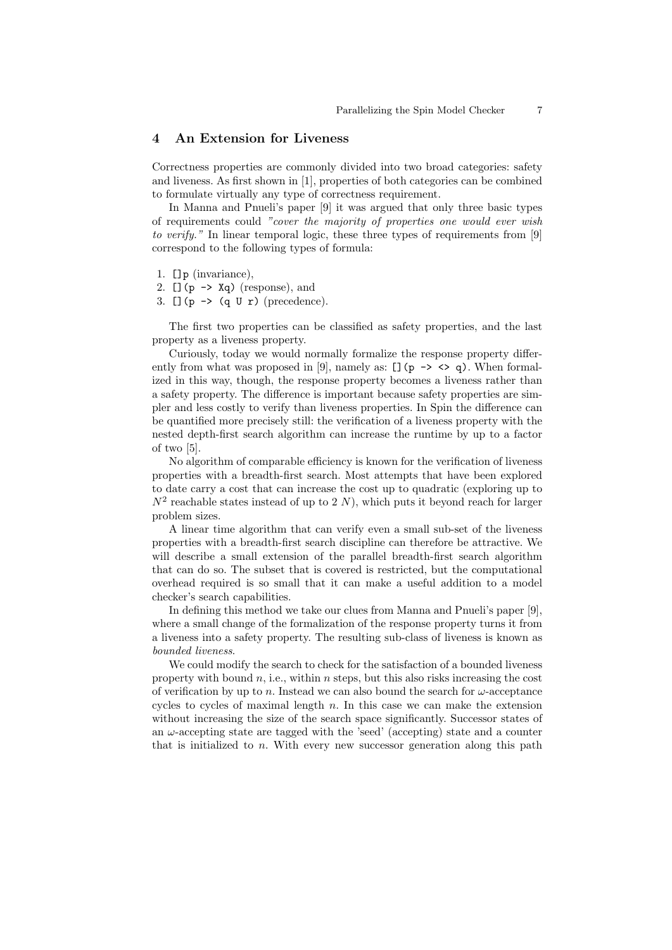# 4 An Extension for Liveness

Correctness properties are commonly divided into two broad categories: safety and liveness. As first shown in [1], properties of both categories can be combined to formulate virtually any type of correctness requirement.

In Manna and Pnueli's paper [9] it was argued that only three basic types of requirements could "cover the majority of properties one would ever wish to verify." In linear temporal logic, these three types of requirements from [9] correspond to the following types of formula:

- 1. []p (invariance),
- 2.  $\Box$  (p  $\rightarrow$  Xq) (response), and
- 3.  $\left[\right]$  (p  $\rightarrow$  (q U r) (precedence).

The first two properties can be classified as safety properties, and the last property as a liveness property.

Curiously, today we would normally formalize the response property differently from what was proposed in [9], namely as:  $[1(p \rightarrow \langle > q \rangle)$ . When formalized in this way, though, the response property becomes a liveness rather than a safety property. The difference is important because safety properties are simpler and less costly to verify than liveness properties. In Spin the difference can be quantified more precisely still: the verification of a liveness property with the nested depth-first search algorithm can increase the runtime by up to a factor of two  $[5]$ .

No algorithm of comparable efficiency is known for the verification of liveness properties with a breadth-first search. Most attempts that have been explored to date carry a cost that can increase the cost up to quadratic (exploring up to  $N^2$  reachable states instead of up to 2 N), which puts it beyond reach for larger problem sizes.

A linear time algorithm that can verify even a small sub-set of the liveness properties with a breadth-first search discipline can therefore be attractive. We will describe a small extension of the parallel breadth-first search algorithm that can do so. The subset that is covered is restricted, but the computational overhead required is so small that it can make a useful addition to a model checker's search capabilities.

In defining this method we take our clues from Manna and Pnueli's paper [9], where a small change of the formalization of the response property turns it from a liveness into a safety property. The resulting sub-class of liveness is known as bounded liveness.

We could modify the search to check for the satisfaction of a bounded liveness property with bound  $n$ , i.e., within  $n$  steps, but this also risks increasing the cost of verification by up to n. Instead we can also bound the search for  $\omega$ -acceptance cycles to cycles of maximal length  $n$ . In this case we can make the extension without increasing the size of the search space significantly. Successor states of an  $\omega$ -accepting state are tagged with the 'seed' (accepting) state and a counter that is initialized to  $n$ . With every new successor generation along this path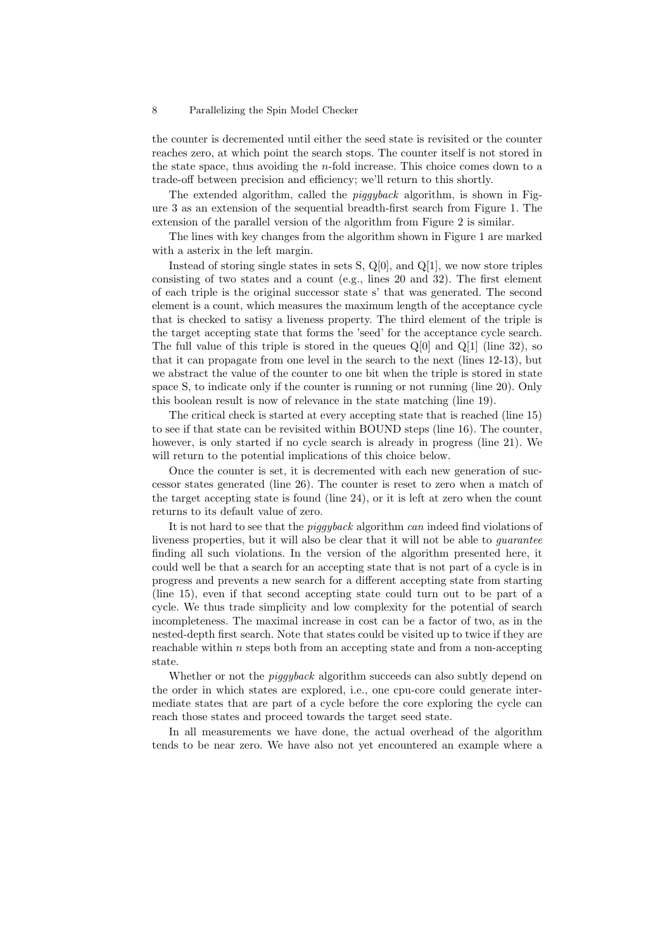the counter is decremented until either the seed state is revisited or the counter reaches zero, at which point the search stops. The counter itself is not stored in the state space, thus avoiding the  $n$ -fold increase. This choice comes down to a trade-off between precision and efficiency; we'll return to this shortly.

The extended algorithm, called the piggyback algorithm, is shown in Figure 3 as an extension of the sequential breadth-first search from Figure 1. The extension of the parallel version of the algorithm from Figure 2 is similar.

The lines with key changes from the algorithm shown in Figure 1 are marked with a asterix in the left margin.

Instead of storing single states in sets S, Q[0], and Q[1], we now store triples consisting of two states and a count (e.g., lines 20 and 32). The first element of each triple is the original successor state s' that was generated. The second element is a count, which measures the maximum length of the acceptance cycle that is checked to satisy a liveness property. The third element of the triple is the target accepting state that forms the 'seed' for the acceptance cycle search. The full value of this triple is stored in the queues  $Q[0]$  and  $Q[1]$  (line 32), so that it can propagate from one level in the search to the next (lines 12-13), but we abstract the value of the counter to one bit when the triple is stored in state space S, to indicate only if the counter is running or not running (line 20). Only this boolean result is now of relevance in the state matching (line 19).

The critical check is started at every accepting state that is reached (line 15) to see if that state can be revisited within BOUND steps (line 16). The counter, however, is only started if no cycle search is already in progress (line 21). We will return to the potential implications of this choice below.

Once the counter is set, it is decremented with each new generation of successor states generated (line 26). The counter is reset to zero when a match of the target accepting state is found (line 24), or it is left at zero when the count returns to its default value of zero.

It is not hard to see that the *piggyback* algorithm can indeed find violations of liveness properties, but it will also be clear that it will not be able to guarantee finding all such violations. In the version of the algorithm presented here, it could well be that a search for an accepting state that is not part of a cycle is in progress and prevents a new search for a different accepting state from starting (line 15), even if that second accepting state could turn out to be part of a cycle. We thus trade simplicity and low complexity for the potential of search incompleteness. The maximal increase in cost can be a factor of two, as in the nested-depth first search. Note that states could be visited up to twice if they are reachable within  $n$  steps both from an accepting state and from a non-accepting state.

Whether or not the *piggyback* algorithm succeeds can also subtly depend on the order in which states are explored, i.e., one cpu-core could generate intermediate states that are part of a cycle before the core exploring the cycle can reach those states and proceed towards the target seed state.

In all measurements we have done, the actual overhead of the algorithm tends to be near zero. We have also not yet encountered an example where a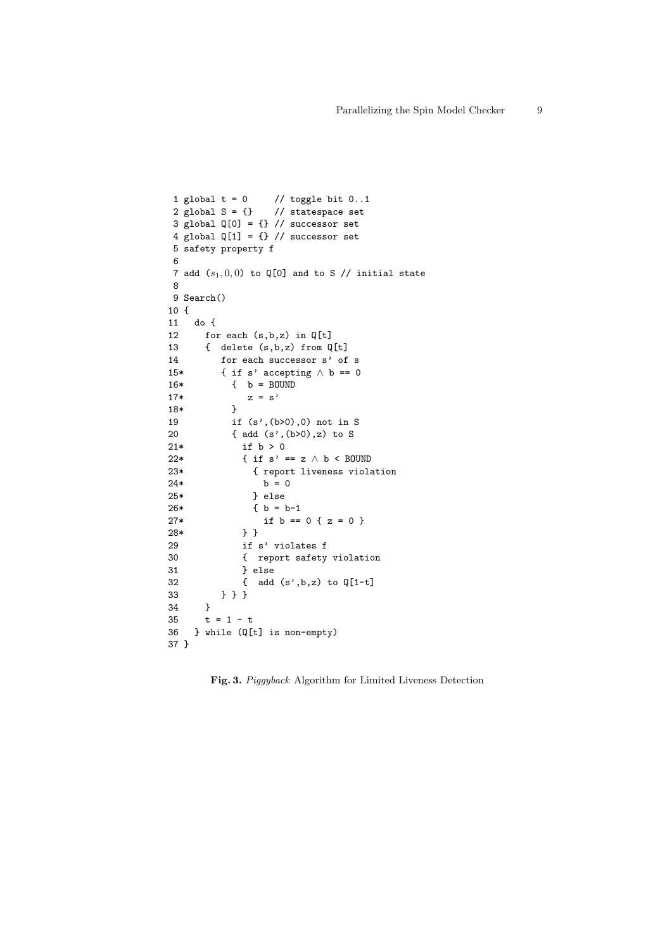```
1 global t = 0 // toggle bit 0..12 global S = \{\} // statespace set
3 global \mathbb{Q}[0] = \{\} // successor set
4 global Q[1] = \{\} // successor set
5 safety property f
6
7 add (s_1, 0, 0) to Q[0] and to S // initial state
8
9 Search()
10 {
11 do {
12 for each (s,b,z) in Q[t]
13 { delete (s,b,z) from Q[t]
14 for each successor s' of s
15* { if s' accepting \wedge b == 0
16* { b = BOUND
17* z = s'18* }<br>19 i
         if (s', (b>0), 0) not in S
20 { add (s',(b>0),z) to S
21* if b > 022* { if s' == z \land b < BOUND
23* { report liveness violation
24* b = 0
25* } else
26* { b = b-1
27* if b == 0 { z = 0 }
28* } }
29 if s' violates f
30 { report safety violation
31 } else
32 { add (s', b, z) to Q[1-t]33 } } }
34 }
35 t = 1 - t36 } while (Q[t] is non-empty)
37 }
```
Fig. 3. Piggyback Algorithm for Limited Liveness Detection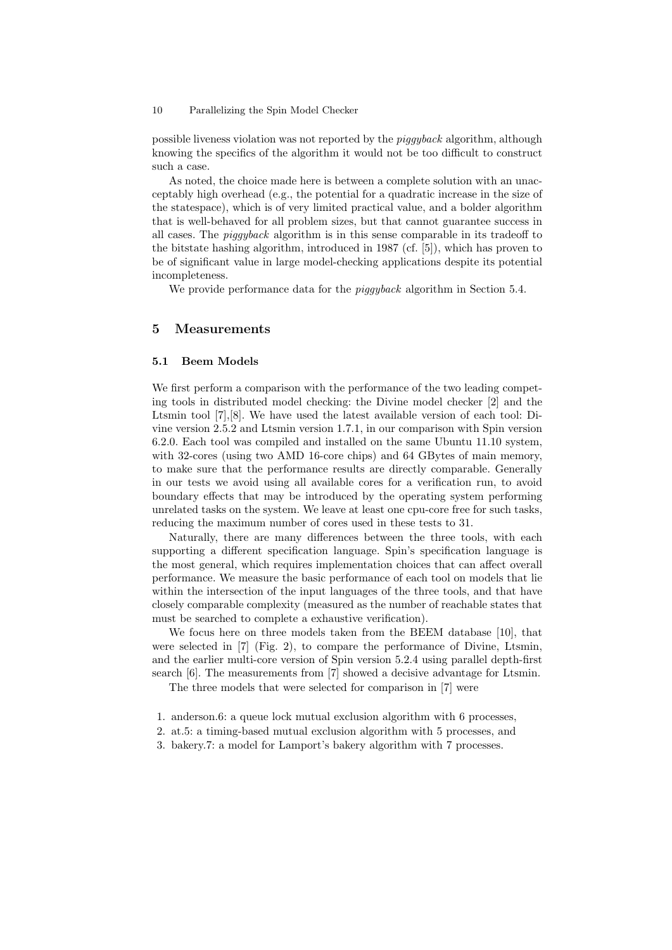possible liveness violation was not reported by the piggyback algorithm, although knowing the specifics of the algorithm it would not be too difficult to construct such a case.

As noted, the choice made here is between a complete solution with an unacceptably high overhead (e.g., the potential for a quadratic increase in the size of the statespace), which is of very limited practical value, and a bolder algorithm that is well-behaved for all problem sizes, but that cannot guarantee success in all cases. The piggyback algorithm is in this sense comparable in its tradeoff to the bitstate hashing algorithm, introduced in 1987 (cf. [5]), which has proven to be of significant value in large model-checking applications despite its potential incompleteness.

We provide performance data for the *piggyback* algorithm in Section 5.4.

# 5 Measurements

# 5.1 Beem Models

We first perform a comparison with the performance of the two leading competing tools in distributed model checking: the Divine model checker [2] and the Ltsmin tool [7],[8]. We have used the latest available version of each tool: Divine version 2.5.2 and Ltsmin version 1.7.1, in our comparison with Spin version 6.2.0. Each tool was compiled and installed on the same Ubuntu 11.10 system, with 32-cores (using two AMD 16-core chips) and 64 GBytes of main memory, to make sure that the performance results are directly comparable. Generally in our tests we avoid using all available cores for a verification run, to avoid boundary effects that may be introduced by the operating system performing unrelated tasks on the system. We leave at least one cpu-core free for such tasks, reducing the maximum number of cores used in these tests to 31.

Naturally, there are many differences between the three tools, with each supporting a different specification language. Spin's specification language is the most general, which requires implementation choices that can affect overall performance. We measure the basic performance of each tool on models that lie within the intersection of the input languages of the three tools, and that have closely comparable complexity (measured as the number of reachable states that must be searched to complete a exhaustive verification).

We focus here on three models taken from the BEEM database [10], that were selected in [7] (Fig. 2), to compare the performance of Divine, Ltsmin, and the earlier multi-core version of Spin version 5.2.4 using parallel depth-first search [6]. The measurements from [7] showed a decisive advantage for Ltsmin.

The three models that were selected for comparison in [7] were

- 1. anderson.6: a queue lock mutual exclusion algorithm with 6 processes,
- 2. at.5: a timing-based mutual exclusion algorithm with 5 processes, and
- 3. bakery.7: a model for Lamport's bakery algorithm with 7 processes.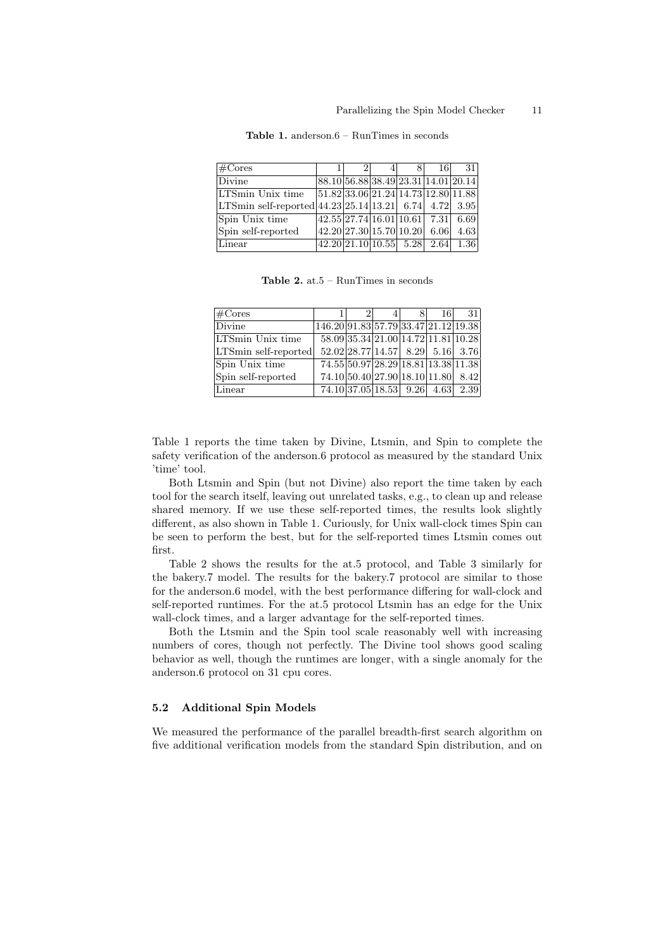| $\#Cores$                                                     |                                  |  | 81 | 161 | 31                                   |
|---------------------------------------------------------------|----------------------------------|--|----|-----|--------------------------------------|
| Divine                                                        |                                  |  |    |     | 88.10 56.88 38.49 23.31 14.01 20.14  |
| LTSmin Unix time                                              |                                  |  |    |     | [51.82]33.06]21.24]14.73]12.80]11.88 |
| LTSmin self-reported $ 44.23 25.14 13.21 $ 6.74 $ 4.72 $ 3.95 |                                  |  |    |     |                                      |
| Spin Unix time                                                |                                  |  |    |     | $42.55$ 27.74 16.01 10.61 7.31 6.69  |
| Spin self-reported                                            | $ 42.20 27.30 15.70 10.20 $ 6.06 |  |    |     | 4.63                                 |
| Linear                                                        |                                  |  |    |     | $ 42.20 21.10 10.55 $ 5.28 2.64 1.36 |

Table 1. anderson.6 – RunTimes in seconds

Table 2. at.5 – RunTimes in seconds

| #Cores               |                                      |                                        |  | 16 | 31 <sup>1</sup> |
|----------------------|--------------------------------------|----------------------------------------|--|----|-----------------|
| Divine               | 146.20 91.83 57.79 33.47 21.12 19.38 |                                        |  |    |                 |
| LTSmin Unix time     |                                      | 58.09 35.34 21.00 14.72 11.81 10.28    |  |    |                 |
| LTSmin self-reported |                                      | $52.02 28.77 14.57 $ 8.29 $5.16 $ 3.76 |  |    |                 |
| Spin Unix time       |                                      | 74.55 50.97 28.29 18.81 13.38 11.38    |  |    |                 |
| Spin self-reported   |                                      | 74.10 50.40 27.90 18.10 11.80 8.42     |  |    |                 |
| Linear               |                                      | 74.10 37.05 18.53 9.26 4.63 2.39       |  |    |                 |

Table 1 reports the time taken by Divine, Ltsmin, and Spin to complete the safety verification of the anderson.6 protocol as measured by the standard Unix 'time' tool.

Both Ltsmin and Spin (but not Divine) also report the time taken by each tool for the search itself, leaving out unrelated tasks, e.g., to clean up and release shared memory. If we use these self-reported times, the results look slightly different, as also shown in Table 1. Curiously, for Unix wall-clock times Spin can be seen to perform the best, but for the self-reported times Ltsmin comes out first.

Table 2 shows the results for the at.5 protocol, and Table 3 similarly for the bakery.7 model. The results for the bakery.7 protocol are similar to those for the anderson.6 model, with the best performance differing for wall-clock and self-reported runtimes. For the at.5 protocol Ltsmin has an edge for the Unix wall-clock times, and a larger advantage for the self-reported times.

Both the Ltsmin and the Spin tool scale reasonably well with increasing numbers of cores, though not perfectly. The Divine tool shows good scaling behavior as well, though the runtimes are longer, with a single anomaly for the anderson.6 protocol on 31 cpu cores.

# 5.2 Additional Spin Models

We measured the performance of the parallel breadth-first search algorithm on five additional verification models from the standard Spin distribution, and on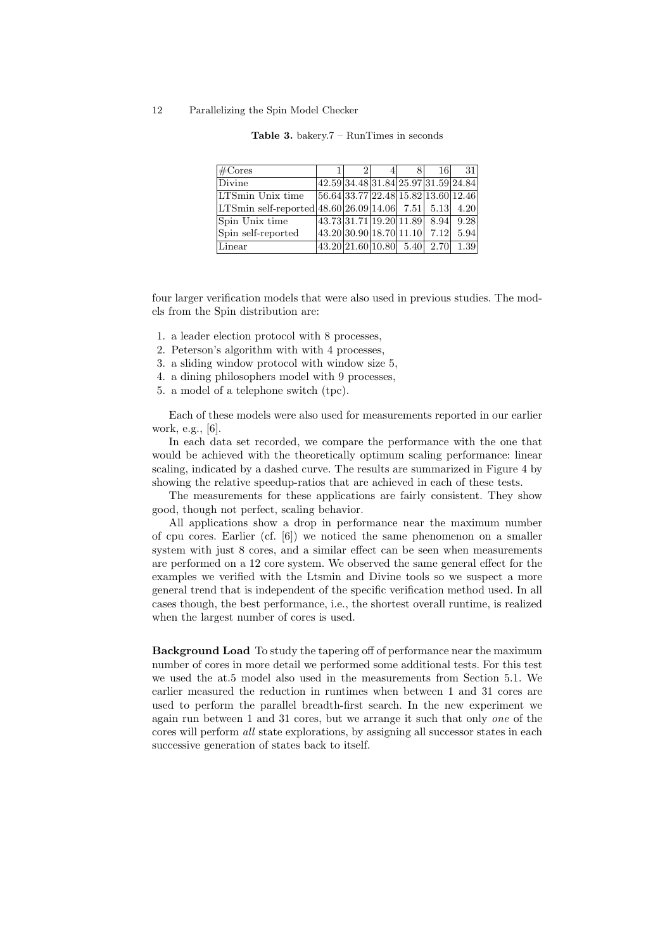| #Cores                                                    |  | $4^1$                               | 81 | 16 | -31 l                                          |
|-----------------------------------------------------------|--|-------------------------------------|----|----|------------------------------------------------|
| Divine                                                    |  | 42.59 34.48 31.84 25.97 31.59 24.84 |    |    |                                                |
| LTSmin Unix time                                          |  | 56.64 33.77 22.48 15.82 13.60 12.46 |    |    |                                                |
| LTSmin self-reported $ 48.60 26.09 14.06 $ 7.51 5.13 4.20 |  |                                     |    |    |                                                |
| Spin Unix time                                            |  |                                     |    |    | $\overline{43.73}$ 31.71 19.20 11.89 8.94 9.28 |
| Spin self-reported                                        |  |                                     |    |    | 43.20 30.90 18.70 11.10 7.12 5.94              |
| Linear                                                    |  |                                     |    |    | $43.20\,21.60\,10.80$ 5.40 2.70 1.39           |

Table 3. bakery.7 – RunTimes in seconds

four larger verification models that were also used in previous studies. The models from the Spin distribution are:

- 1. a leader election protocol with 8 processes,
- 2. Peterson's algorithm with with 4 processes,
- 3. a sliding window protocol with window size 5,
- 4. a dining philosophers model with 9 processes,
- 5. a model of a telephone switch (tpc).

Each of these models were also used for measurements reported in our earlier work, e.g., [6].

In each data set recorded, we compare the performance with the one that would be achieved with the theoretically optimum scaling performance: linear scaling, indicated by a dashed curve. The results are summarized in Figure 4 by showing the relative speedup-ratios that are achieved in each of these tests.

The measurements for these applications are fairly consistent. They show good, though not perfect, scaling behavior.

All applications show a drop in performance near the maximum number of cpu cores. Earlier (cf. [6]) we noticed the same phenomenon on a smaller system with just 8 cores, and a similar effect can be seen when measurements are performed on a 12 core system. We observed the same general effect for the examples we verified with the Ltsmin and Divine tools so we suspect a more general trend that is independent of the specific verification method used. In all cases though, the best performance, i.e., the shortest overall runtime, is realized when the largest number of cores is used.

Background Load To study the tapering off of performance near the maximum number of cores in more detail we performed some additional tests. For this test we used the at.5 model also used in the measurements from Section 5.1. We earlier measured the reduction in runtimes when between 1 and 31 cores are used to perform the parallel breadth-first search. In the new experiment we again run between 1 and 31 cores, but we arrange it such that only one of the cores will perform all state explorations, by assigning all successor states in each successive generation of states back to itself.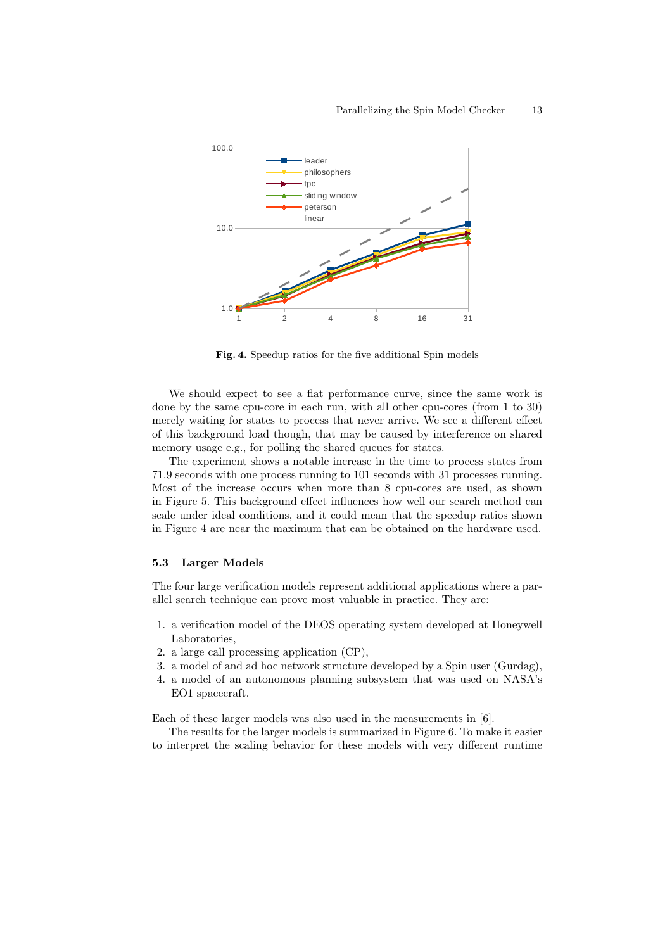

Fig. 4. Speedup ratios for the five additional Spin models

We should expect to see a flat performance curve, since the same work is done by the same cpu-core in each run, with all other cpu-cores (from 1 to 30) merely waiting for states to process that never arrive. We see a different effect of this background load though, that may be caused by interference on shared memory usage e.g., for polling the shared queues for states.

The experiment shows a notable increase in the time to process states from 71.9 seconds with one process running to 101 seconds with 31 processes running. Most of the increase occurs when more than 8 cpu-cores are used, as shown in Figure 5. This background effect influences how well our search method can scale under ideal conditions, and it could mean that the speedup ratios shown in Figure 4 are near the maximum that can be obtained on the hardware used.

#### 5.3 Larger Models

The four large verification models represent additional applications where a parallel search technique can prove most valuable in practice. They are:

- 1. a verification model of the DEOS operating system developed at Honeywell Laboratories,
- 2. a large call processing application (CP),
- 3. a model of and ad hoc network structure developed by a Spin user (Gurdag),
- 4. a model of an autonomous planning subsystem that was used on NASA's EO1 spacecraft.

Each of these larger models was also used in the measurements in [6].

The results for the larger models is summarized in Figure 6. To make it easier to interpret the scaling behavior for these models with very different runtime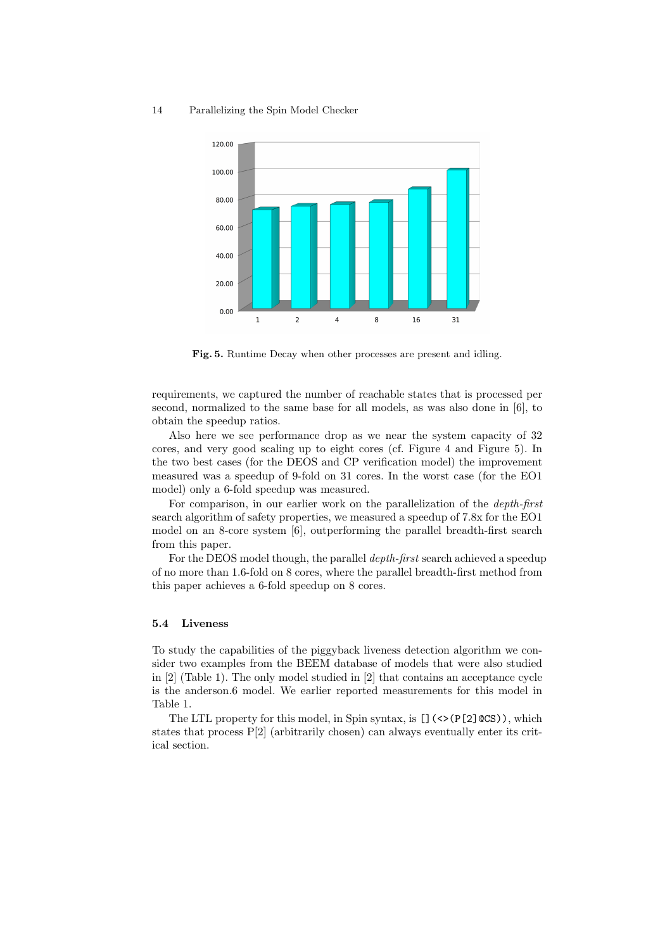

Fig. 5. Runtime Decay when other processes are present and idling.

requirements, we captured the number of reachable states that is processed per second, normalized to the same base for all models, as was also done in [6], to obtain the speedup ratios.

Also here we see performance drop as we near the system capacity of 32 cores, and very good scaling up to eight cores (cf. Figure 4 and Figure 5). In the two best cases (for the DEOS and CP verification model) the improvement measured was a speedup of 9-fold on 31 cores. In the worst case (for the EO1 model) only a 6-fold speedup was measured.

For comparison, in our earlier work on the parallelization of the depth-first search algorithm of safety properties, we measured a speedup of 7.8x for the EO1 model on an 8-core system [6], outperforming the parallel breadth-first search from this paper.

For the DEOS model though, the parallel depth-first search achieved a speedup of no more than 1.6-fold on 8 cores, where the parallel breadth-first method from this paper achieves a 6-fold speedup on 8 cores.

# 5.4 Liveness

To study the capabilities of the piggyback liveness detection algorithm we consider two examples from the BEEM database of models that were also studied in [2] (Table 1). The only model studied in [2] that contains an acceptance cycle is the anderson.6 model. We earlier reported measurements for this model in Table 1.

The LTL property for this model, in Spin syntax, is  $[] (\langle \rangle (P[2]\text{CCS})$ , which states that process P[2] (arbitrarily chosen) can always eventually enter its critical section.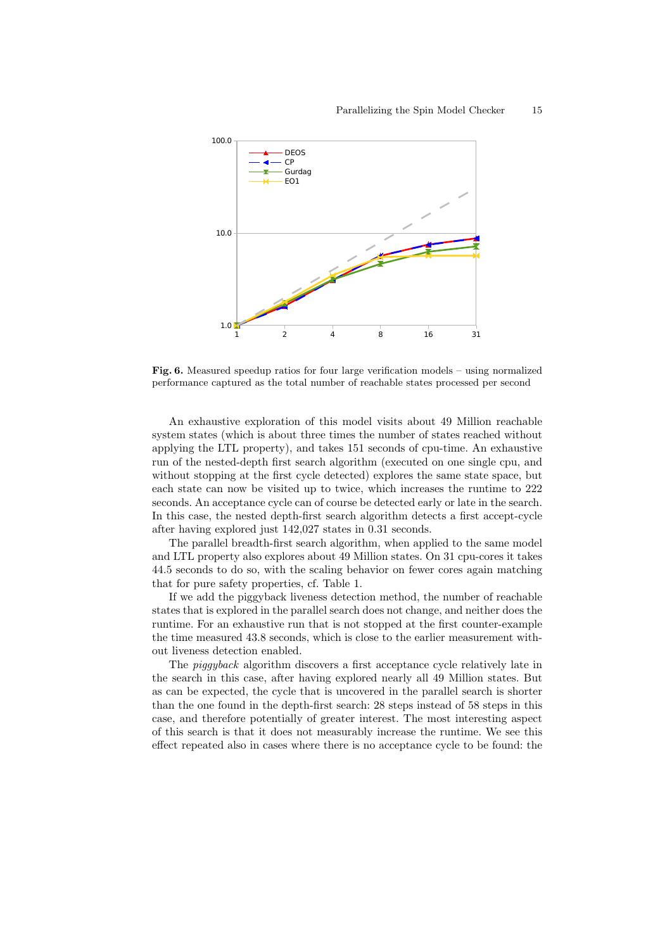

Fig. 6. Measured speedup ratios for four large verification models – using normalized performance captured as the total number of reachable states processed per second

An exhaustive exploration of this model visits about 49 Million reachable system states (which is about three times the number of states reached without applying the LTL property), and takes 151 seconds of cpu-time. An exhaustive run of the nested-depth first search algorithm (executed on one single cpu, and without stopping at the first cycle detected) explores the same state space, but each state can now be visited up to twice, which increases the runtime to 222 seconds. An acceptance cycle can of course be detected early or late in the search. In this case, the nested depth-first search algorithm detects a first accept-cycle after having explored just 142,027 states in 0.31 seconds.

The parallel breadth-first search algorithm, when applied to the same model and LTL property also explores about 49 Million states. On 31 cpu-cores it takes 44.5 seconds to do so, with the scaling behavior on fewer cores again matching that for pure safety properties, cf. Table 1.

If we add the piggyback liveness detection method, the number of reachable states that is explored in the parallel search does not change, and neither does the runtime. For an exhaustive run that is not stopped at the first counter-example the time measured 43.8 seconds, which is close to the earlier measurement without liveness detection enabled.

the search in this case, after having explored nearly all 49 Million states. But The piggyback algorithm discovers a first acceptance cycle relatively late in as can be expected, the cycle that is uncovered in the parallel search is shorter than the one found in the depth-first search: 28 steps instead of 58 steps in this case, and therefore potentially of greater interest. The most interesting aspect of this search is that it does not measurably increase the runtime. We see this effect repeated also in cases where there is no acceptance cycle to be found: the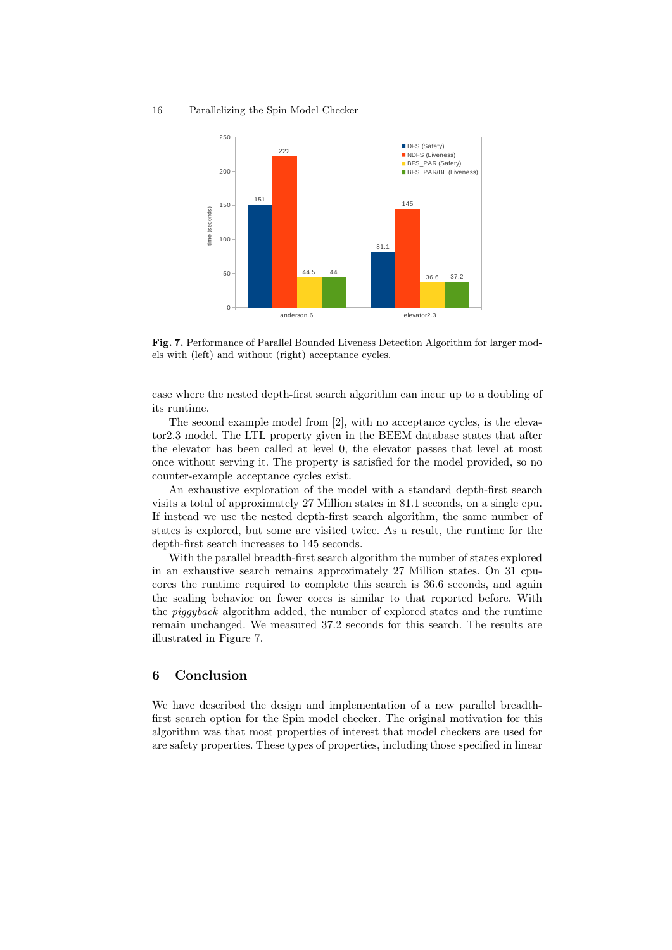

Fig. 7. Performance of Parallel Bounded Liveness Detection Algorithm for larger models with (left) and without (right) acceptance cycles.

case where the nested depth-first search algorithm can incur up to a doubling of its runtime.

The second example model from [2], with no acceptance cycles, is the elevator2.3 model. The LTL property given in the BEEM database states that after the elevator has been called at level 0, the elevator passes that level at most once without serving it. The property is satisfied for the model provided, so no counter-example acceptance cycles exist.

If instead we use the nested depth-first search algorithm, the same number of An exhaustive exploration of the model with a standard depth-first search visits a total of approximately 27 Million states in 81.1 seconds, on a single cpu. states is explored, but some are visited twice. As a result, the runtime for the depth-first search increases to 145 seconds.

With the parallel breadth-first search algorithm the number of states explored in an exhaustive search remains approximately 27 Million states. On 31 cpucores the runtime required to complete this search is 36.6 seconds, and again the scaling behavior on fewer cores is similar to that reported before. With the piggyback algorithm added, the number of explored states and the runtime remain unchanged. We measured 37.2 seconds for this search. The results are illustrated in Figure 7.

# 6 Conclusion

We have described the design and implementation of a new parallel breadthfirst search option for the Spin model checker. The original motivation for this algorithm was that most properties of interest that model checkers are used for are safety properties. These types of properties, including those specified in linear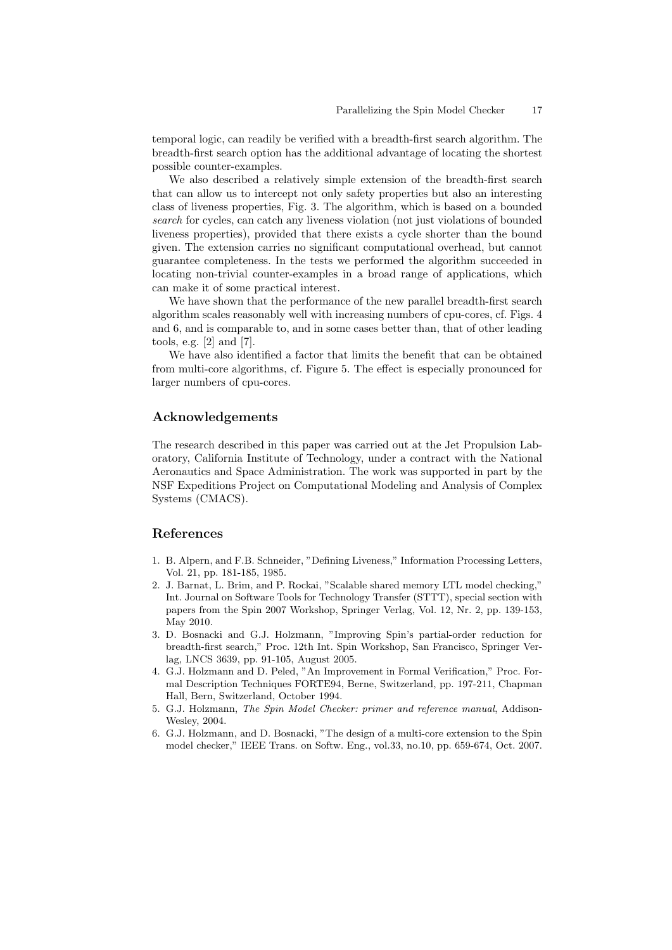temporal logic, can readily be verified with a breadth-first search algorithm. The breadth-first search option has the additional advantage of locating the shortest possible counter-examples.

We also described a relatively simple extension of the breadth-first search that can allow us to intercept not only safety properties but also an interesting class of liveness properties, Fig. 3. The algorithm, which is based on a bounded search for cycles, can catch any liveness violation (not just violations of bounded liveness properties), provided that there exists a cycle shorter than the bound given. The extension carries no significant computational overhead, but cannot guarantee completeness. In the tests we performed the algorithm succeeded in locating non-trivial counter-examples in a broad range of applications, which can make it of some practical interest.

We have shown that the performance of the new parallel breadth-first search algorithm scales reasonably well with increasing numbers of cpu-cores, cf. Figs. 4 and 6, and is comparable to, and in some cases better than, that of other leading tools, e.g. [2] and [7].

We have also identified a factor that limits the benefit that can be obtained from multi-core algorithms, cf. Figure 5. The effect is especially pronounced for larger numbers of cpu-cores.

# Acknowledgements

The research described in this paper was carried out at the Jet Propulsion Laboratory, California Institute of Technology, under a contract with the National Aeronautics and Space Administration. The work was supported in part by the NSF Expeditions Project on Computational Modeling and Analysis of Complex Systems (CMACS).

# References

- 1. B. Alpern, and F.B. Schneider, "Defining Liveness," Information Processing Letters, Vol. 21, pp. 181-185, 1985.
- 2. J. Barnat, L. Brim, and P. Rockai, "Scalable shared memory LTL model checking," Int. Journal on Software Tools for Technology Transfer (STTT), special section with papers from the Spin 2007 Workshop, Springer Verlag, Vol. 12, Nr. 2, pp. 139-153, May 2010.
- 3. D. Bosnacki and G.J. Holzmann, "Improving Spin's partial-order reduction for breadth-first search," Proc. 12th Int. Spin Workshop, San Francisco, Springer Verlag, LNCS 3639, pp. 91-105, August 2005.
- 4. G.J. Holzmann and D. Peled, "An Improvement in Formal Verification," Proc. Formal Description Techniques FORTE94, Berne, Switzerland, pp. 197-211, Chapman Hall, Bern, Switzerland, October 1994.
- 5. G.J. Holzmann, The Spin Model Checker: primer and reference manual, Addison-Wesley, 2004.
- 6. G.J. Holzmann, and D. Bosnacki, "The design of a multi-core extension to the Spin model checker," IEEE Trans. on Softw. Eng., vol.33, no.10, pp. 659-674, Oct. 2007.